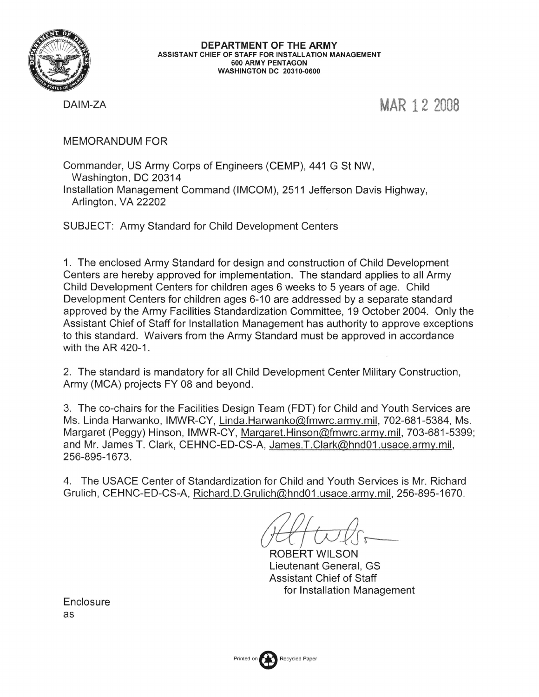

DEPARTMENT OF THE ARMY ASSISTANT CHIEF OF STAFF FOR INSTALLATION MANAGEMENT 600 ARMY PENTAGON **WASHINGTON DC 20310-0600** 

DAIM-ZA

MAR 12 2008

**MEMORANDUM FOR** 

Commander, US Army Corps of Engineers (CEMP), 441 G St NW, Washington, DC 20314 Installation Management Command (IMCOM), 2511 Jefferson Davis Highway, Arlington, VA 22202

**SUBJECT: Army Standard for Child Development Centers** 

1. The enclosed Army Standard for design and construction of Child Development Centers are hereby approved for implementation. The standard applies to all Army Child Development Centers for children ages 6 weeks to 5 years of age. Child Development Centers for children ages 6-10 are addressed by a separate standard approved by the Army Facilities Standardization Committee, 19 October 2004. Only the Assistant Chief of Staff for Installation Management has authority to approve exceptions to this standard. Waivers from the Army Standard must be approved in accordance with the AR 420-1.

2. The standard is mandatory for all Child Development Center Military Construction, Army (MCA) projects FY 08 and beyond.

3. The co-chairs for the Facilities Design Team (FDT) for Child and Youth Services are Ms. Linda Harwanko, IMWR-CY, Linda.Harwanko@fmwrc.army.mil, 702-681-5384, Ms. Margaret (Peggy) Hinson, IMWR-CY, Margaret.Hinson@fmwrc.army.mil, 703-681-5399; and Mr. James T. Clark, CEHNC-ED-CS-A, James.T.Clark@hnd01.usace.army.mil, 256-895-1673.

4. The USACE Center of Standardization for Child and Youth Services is Mr. Richard Grulich, CEHNC-ED-CS-A, Richard.D.Grulich@hnd01.usace.army.mil, 256-895-1670.

ROBERT WILSON Lieutenant General. GS **Assistant Chief of Staff** for Installation Management

Enclosure as

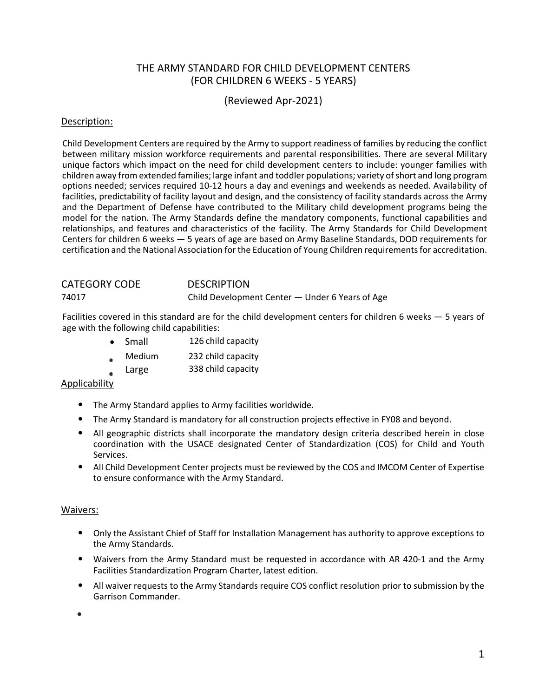## THE ARMY STANDARD FOR CHILD DEVELOPMENT CENTERS (FOR CHILDREN 6 WEEKS ‐ 5 YEARS)

(Reviewed Apr‐2021)

#### Description:

Child Development Centers are required by the Army to support readiness of families by reducing the conflict between military mission workforce requirements and parental responsibilities. There are several Military unique factors which impact on the need for child development centers to include: younger families with children away from extended families; large infant and toddler populations; variety ofshort and long program options needed; services required 10‐12 hours a day and evenings and weekends as needed. Availability of facilities, predictability of facility layout and design, and the consistency of facility standards across the Army and the Department of Defense have contributed to the Military child development programs being the model for the nation. The Army Standards define the mandatory components, functional capabilities and relationships, and features and characteristics of the facility. The Army Standards for Child Development Centers for children 6 weeks — 5 years of age are based on Army Baseline Standards, DOD requirements for certification and the National Association for the Education of Young Children requirementsfor accreditation.

# CATEGORY CODE DESCRIPTION 74017 Child Development Center — Under 6 Years of Age

Facilities covered in this standard are for the child development centers for children 6 weeks — 5 years of age with the following child capabilities:

- Small 126 child capacity
- Medium 232 child capacity
- Large 338 child capacity

### Applicability

- The Army Standard applies to Army facilities worldwide.
- The Army Standard is mandatory for all construction projects effective in FY08 and beyond.
- All geographic districts shall incorporate the mandatory design criteria described herein in close coordination with the USACE designated Center of Standardization (COS) for Child and Youth Services.
- All Child Development Center projects must be reviewed by the COS and IMCOM Center of Expertise to ensure conformance with the Army Standard.

#### Waivers:

- Only the Assistant Chief of Staff for Installation Management has authority to approve exceptions to the Army Standards.
- Waivers from the Army Standard must be requested in accordance with AR 420-1 and the Army Facilities Standardization Program Charter, latest edition.
- All waiver requests to the Army Standards require COS conflict resolution prior to submission by the Garrison Commander.

Ė,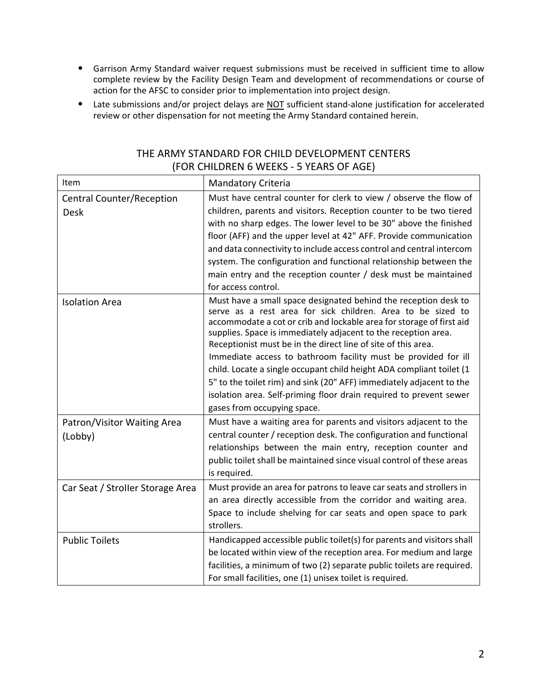- Garrison Army Standard waiver request submissions must be received in sufficient time to allow complete review by the Facility Design Team and development of recommendations or course of action for the AFSC to consider prior to implementation into project design.
- Late submissions and/or project delays are NOT sufficient stand‐alone justification for accelerated review or other dispensation for not meeting the Army Standard contained herein.

| Item                                            | <b>Mandatory Criteria</b>                                                                                                                                                                                                                                                                                                                                                                                                                                                                                                                                                                                                                                        |
|-------------------------------------------------|------------------------------------------------------------------------------------------------------------------------------------------------------------------------------------------------------------------------------------------------------------------------------------------------------------------------------------------------------------------------------------------------------------------------------------------------------------------------------------------------------------------------------------------------------------------------------------------------------------------------------------------------------------------|
| <b>Central Counter/Reception</b><br><b>Desk</b> | Must have central counter for clerk to view / observe the flow of<br>children, parents and visitors. Reception counter to be two tiered<br>with no sharp edges. The lower level to be 30" above the finished<br>floor (AFF) and the upper level at 42" AFF. Provide communication<br>and data connectivity to include access control and central intercom<br>system. The configuration and functional relationship between the<br>main entry and the reception counter / desk must be maintained<br>for access control.                                                                                                                                          |
| <b>Isolation Area</b>                           | Must have a small space designated behind the reception desk to<br>serve as a rest area for sick children. Area to be sized to<br>accommodate a cot or crib and lockable area for storage of first aid<br>supplies. Space is immediately adjacent to the reception area.<br>Receptionist must be in the direct line of site of this area.<br>Immediate access to bathroom facility must be provided for ill<br>child. Locate a single occupant child height ADA compliant toilet (1<br>5" to the toilet rim) and sink (20" AFF) immediately adjacent to the<br>isolation area. Self-priming floor drain required to prevent sewer<br>gases from occupying space. |
| Patron/Visitor Waiting Area<br>(Lobby)          | Must have a waiting area for parents and visitors adjacent to the<br>central counter / reception desk. The configuration and functional<br>relationships between the main entry, reception counter and<br>public toilet shall be maintained since visual control of these areas<br>is required.                                                                                                                                                                                                                                                                                                                                                                  |
| Car Seat / Stroller Storage Area                | Must provide an area for patrons to leave car seats and strollers in<br>an area directly accessible from the corridor and waiting area.<br>Space to include shelving for car seats and open space to park<br>strollers.                                                                                                                                                                                                                                                                                                                                                                                                                                          |
| <b>Public Toilets</b>                           | Handicapped accessible public toilet(s) for parents and visitors shall<br>be located within view of the reception area. For medium and large<br>facilities, a minimum of two (2) separate public toilets are required.<br>For small facilities, one (1) unisex toilet is required.                                                                                                                                                                                                                                                                                                                                                                               |

## THE ARMY STANDARD FOR CHILD DEVELOPMENT CENTERS (FOR CHILDREN 6 WEEKS ‐ 5 YEARS OF AGE)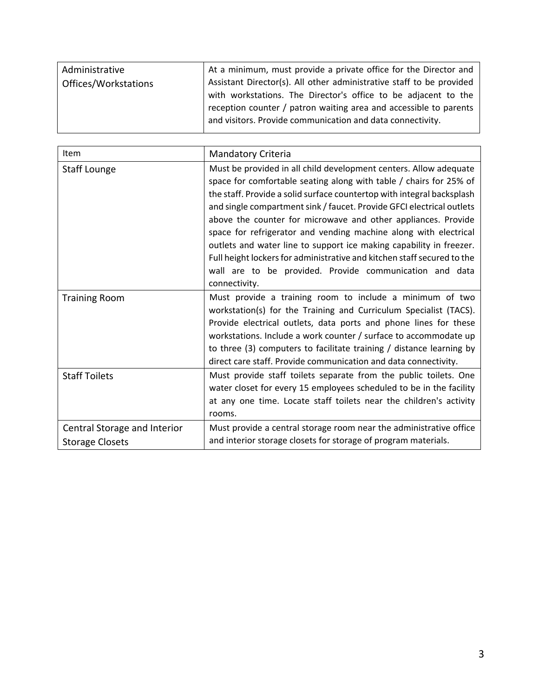| Administrative<br>Offices/Workstations | At a minimum, must provide a private office for the Director and<br>Assistant Director(s). All other administrative staff to be provided<br>with workstations. The Director's office to be adjacent to the<br>reception counter / patron waiting area and accessible to parents<br>and visitors. Provide communication and data connectivity. |
|----------------------------------------|-----------------------------------------------------------------------------------------------------------------------------------------------------------------------------------------------------------------------------------------------------------------------------------------------------------------------------------------------|
|                                        |                                                                                                                                                                                                                                                                                                                                               |
|                                        |                                                                                                                                                                                                                                                                                                                                               |
|                                        |                                                                                                                                                                                                                                                                                                                                               |

| <b>Item</b>                                            | <b>Mandatory Criteria</b>                                                                                                                                                                                                                                                                                                                                                                                                                                                                                                                                                                                                                                     |
|--------------------------------------------------------|---------------------------------------------------------------------------------------------------------------------------------------------------------------------------------------------------------------------------------------------------------------------------------------------------------------------------------------------------------------------------------------------------------------------------------------------------------------------------------------------------------------------------------------------------------------------------------------------------------------------------------------------------------------|
| <b>Staff Lounge</b>                                    | Must be provided in all child development centers. Allow adequate<br>space for comfortable seating along with table / chairs for 25% of<br>the staff. Provide a solid surface countertop with integral backsplash<br>and single compartment sink / faucet. Provide GFCI electrical outlets<br>above the counter for microwave and other appliances. Provide<br>space for refrigerator and vending machine along with electrical<br>outlets and water line to support ice making capability in freezer.<br>Full height lockers for administrative and kitchen staff secured to the<br>wall are to be provided. Provide communication and data<br>connectivity. |
| <b>Training Room</b>                                   | Must provide a training room to include a minimum of two<br>workstation(s) for the Training and Curriculum Specialist (TACS).<br>Provide electrical outlets, data ports and phone lines for these<br>workstations. Include a work counter / surface to accommodate up<br>to three (3) computers to facilitate training / distance learning by<br>direct care staff. Provide communication and data connectivity.                                                                                                                                                                                                                                              |
| <b>Staff Toilets</b>                                   | Must provide staff toilets separate from the public toilets. One<br>water closet for every 15 employees scheduled to be in the facility<br>at any one time. Locate staff toilets near the children's activity<br>rooms.                                                                                                                                                                                                                                                                                                                                                                                                                                       |
| Central Storage and Interior<br><b>Storage Closets</b> | Must provide a central storage room near the administrative office<br>and interior storage closets for storage of program materials.                                                                                                                                                                                                                                                                                                                                                                                                                                                                                                                          |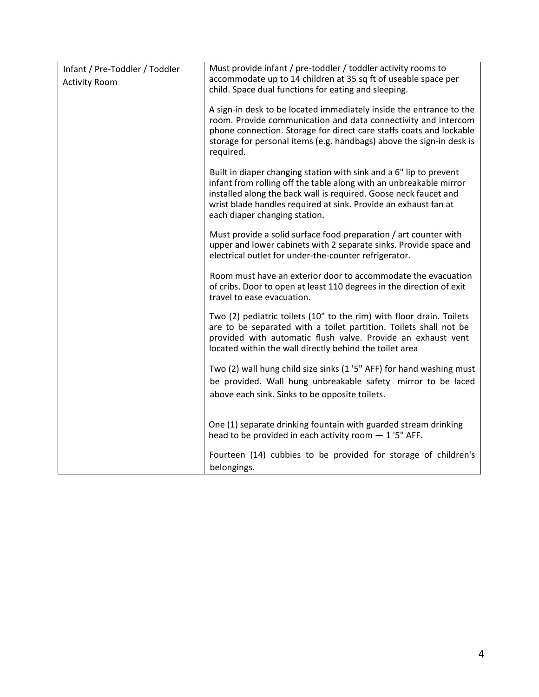| Must provide infant / pre-toddler / toddler activity rooms to<br>accommodate up to 14 children at 35 sq ft of useable space per<br>child. Space dual functions for eating and sleeping.                                                                                                                          |
|------------------------------------------------------------------------------------------------------------------------------------------------------------------------------------------------------------------------------------------------------------------------------------------------------------------|
| A sign-in desk to be located immediately inside the entrance to the<br>room. Provide communication and data connectivity and intercom<br>phone connection. Storage for direct care staffs coats and lockable<br>storage for personal items (e.g. handbags) above the sign-in desk is<br>required.                |
| Built in diaper changing station with sink and a 6" lip to prevent<br>infant from rolling off the table along with an unbreakable mirror<br>installed along the back wall is required. Goose neck faucet and<br>wrist blade handles required at sink. Provide an exhaust fan at<br>each diaper changing station. |
| Must provide a solid surface food preparation / art counter with<br>upper and lower cabinets with 2 separate sinks. Provide space and<br>electrical outlet for under-the-counter refrigerator.                                                                                                                   |
| Room must have an exterior door to accommodate the evacuation<br>of cribs. Door to open at least 110 degrees in the direction of exit<br>travel to ease evacuation.                                                                                                                                              |
| Two (2) pediatric toilets (10" to the rim) with floor drain. Toilets<br>are to be separated with a toilet partition. Toilets shall not be<br>provided with automatic flush valve. Provide an exhaust vent<br>located within the wall directly behind the toilet area                                             |
| Two (2) wall hung child size sinks (1 '5" AFF) for hand washing must                                                                                                                                                                                                                                             |
| be provided. Wall hung unbreakable safety mirror to be laced<br>above each sink. Sinks to be opposite toilets.                                                                                                                                                                                                   |
|                                                                                                                                                                                                                                                                                                                  |
| One (1) separate drinking fountain with guarded stream drinking<br>head to be provided in each activity room $-1$ '5" AFF.                                                                                                                                                                                       |
| Fourteen (14) cubbies to be provided for storage of children's<br>belongings.                                                                                                                                                                                                                                    |
|                                                                                                                                                                                                                                                                                                                  |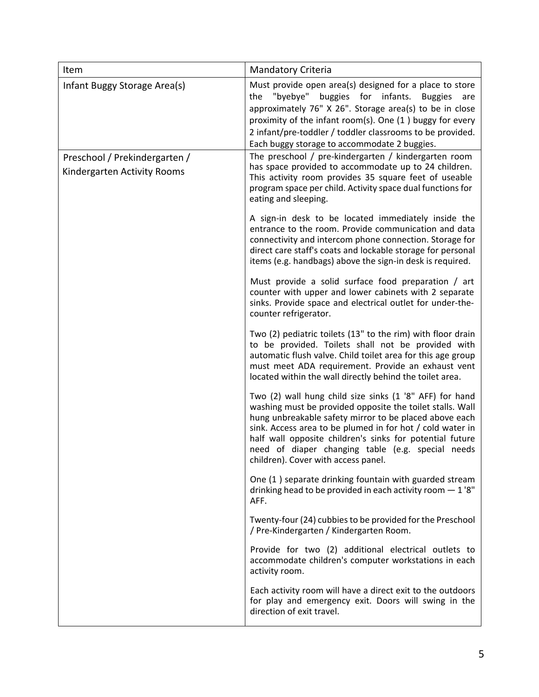| Item                                                         | <b>Mandatory Criteria</b>                                                                                                                                                                                                                                                                                                                                                                           |
|--------------------------------------------------------------|-----------------------------------------------------------------------------------------------------------------------------------------------------------------------------------------------------------------------------------------------------------------------------------------------------------------------------------------------------------------------------------------------------|
| Infant Buggy Storage Area(s)                                 | Must provide open area(s) designed for a place to store<br>"byebye" buggies for infants. Buggies<br>the<br>are<br>approximately 76" X 26". Storage area(s) to be in close<br>proximity of the infant room(s). One (1) buggy for every<br>2 infant/pre-toddler / toddler classrooms to be provided.<br>Each buggy storage to accommodate 2 buggies.                                                  |
| Preschool / Prekindergarten /<br>Kindergarten Activity Rooms | The preschool / pre-kindergarten / kindergarten room<br>has space provided to accommodate up to 24 children.<br>This activity room provides 35 square feet of useable<br>program space per child. Activity space dual functions for<br>eating and sleeping.                                                                                                                                         |
|                                                              | A sign-in desk to be located immediately inside the<br>entrance to the room. Provide communication and data<br>connectivity and intercom phone connection. Storage for<br>direct care staff's coats and lockable storage for personal<br>items (e.g. handbags) above the sign-in desk is required.                                                                                                  |
|                                                              | Must provide a solid surface food preparation / art<br>counter with upper and lower cabinets with 2 separate<br>sinks. Provide space and electrical outlet for under-the-<br>counter refrigerator.                                                                                                                                                                                                  |
|                                                              | Two (2) pediatric toilets (13" to the rim) with floor drain<br>to be provided. Toilets shall not be provided with<br>automatic flush valve. Child toilet area for this age group<br>must meet ADA requirement. Provide an exhaust vent<br>located within the wall directly behind the toilet area.                                                                                                  |
|                                                              | Two (2) wall hung child size sinks (1 '8" AFF) for hand<br>washing must be provided opposite the toilet stalls. Wall<br>hung unbreakable safety mirror to be placed above each<br>sink. Access area to be plumed in for hot / cold water in<br>half wall opposite children's sinks for potential future<br>need of diaper changing table (e.g. special needs<br>children). Cover with access panel. |
|                                                              | One (1) separate drinking fountain with guarded stream<br>drinking head to be provided in each activity room $-1$ '8"<br>AFF.                                                                                                                                                                                                                                                                       |
|                                                              | Twenty-four (24) cubbies to be provided for the Preschool<br>/ Pre-Kindergarten / Kindergarten Room.                                                                                                                                                                                                                                                                                                |
|                                                              | Provide for two (2) additional electrical outlets to<br>accommodate children's computer workstations in each<br>activity room.                                                                                                                                                                                                                                                                      |
|                                                              | Each activity room will have a direct exit to the outdoors<br>for play and emergency exit. Doors will swing in the<br>direction of exit travel.                                                                                                                                                                                                                                                     |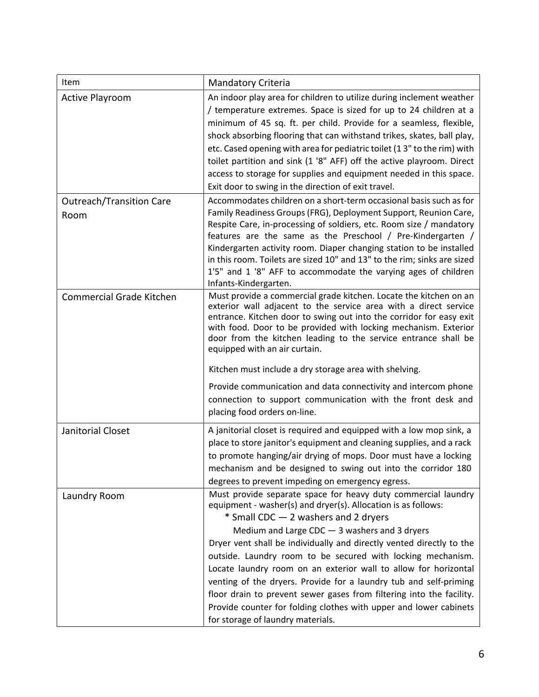| Item                                    | <b>Mandatory Criteria</b>                                                                                                                                                                                                                                                                                                                                                                                                                                                                                                                                                                                                                                                                  |
|-----------------------------------------|--------------------------------------------------------------------------------------------------------------------------------------------------------------------------------------------------------------------------------------------------------------------------------------------------------------------------------------------------------------------------------------------------------------------------------------------------------------------------------------------------------------------------------------------------------------------------------------------------------------------------------------------------------------------------------------------|
| <b>Active Playroom</b>                  | An indoor play area for children to utilize during inclement weather<br>/ temperature extremes. Space is sized for up to 24 children at a<br>minimum of 45 sq. ft. per child. Provide for a seamless, flexible,<br>shock absorbing flooring that can withstand trikes, skates, ball play,<br>etc. Cased opening with area for pediatric toilet (13" to the rim) with<br>toilet partition and sink (1 '8" AFF) off the active playroom. Direct<br>access to storage for supplies and equipment needed in this space.<br>Exit door to swing in the direction of exit travel.                                                                                                                 |
| <b>Outreach/Transition Care</b><br>Room | Accommodates children on a short-term occasional basis such as for<br>Family Readiness Groups (FRG), Deployment Support, Reunion Care,<br>Respite Care, in-processing of soldiers, etc. Room size / mandatory<br>features are the same as the Preschool / Pre-Kindergarten /<br>Kindergarten activity room. Diaper changing station to be installed<br>in this room. Toilets are sized 10" and 13" to the rim; sinks are sized<br>1'5" and 1 '8" AFF to accommodate the varying ages of children<br>Infants-Kindergarten.                                                                                                                                                                  |
| Commercial Grade Kitchen                | Must provide a commercial grade kitchen. Locate the kitchen on an<br>exterior wall adjacent to the service area with a direct service<br>entrance. Kitchen door to swing out into the corridor for easy exit<br>with food. Door to be provided with locking mechanism. Exterior<br>door from the kitchen leading to the service entrance shall be<br>equipped with an air curtain.<br>Kitchen must include a dry storage area with shelving.<br>Provide communication and data connectivity and intercom phone<br>connection to support communication with the front desk and<br>placing food orders on-line.                                                                              |
| Janitorial Closet                       | A janitorial closet is required and equipped with a low mop sink, a<br>place to store janitor's equipment and cleaning supplies, and a rack<br>to promote hanging/air drying of mops. Door must have a locking<br>mechanism and be designed to swing out into the corridor 180<br>degrees to prevent impeding on emergency egress.                                                                                                                                                                                                                                                                                                                                                         |
| Laundry Room                            | Must provide separate space for heavy duty commercial laundry<br>equipment - washer(s) and dryer(s). Allocation is as follows:<br>* Small CDC - 2 washers and 2 dryers<br>Medium and Large CDC $-$ 3 washers and 3 dryers<br>Dryer vent shall be individually and directly vented directly to the<br>outside. Laundry room to be secured with locking mechanism.<br>Locate laundry room on an exterior wall to allow for horizontal<br>venting of the dryers. Provide for a laundry tub and self-priming<br>floor drain to prevent sewer gases from filtering into the facility.<br>Provide counter for folding clothes with upper and lower cabinets<br>for storage of laundry materials. |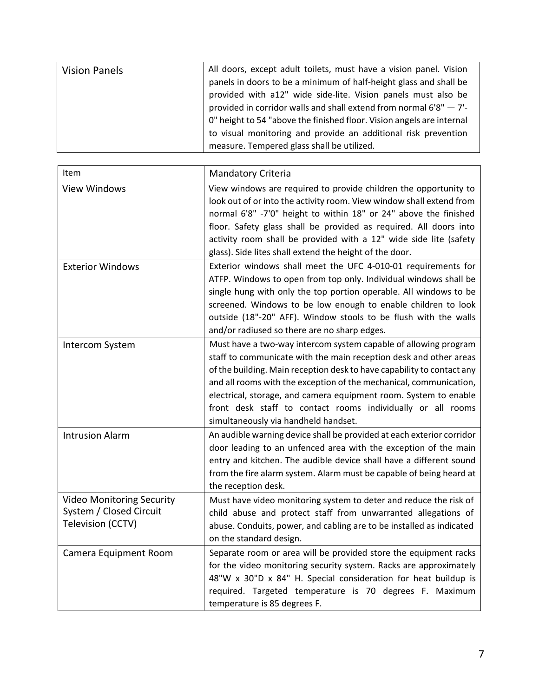| <b>Vision Panels</b> | All doors, except adult toilets, must have a vision panel. Vision      |
|----------------------|------------------------------------------------------------------------|
|                      | panels in doors to be a minimum of half-height glass and shall be      |
|                      | provided with a12" wide side-lite. Vision panels must also be          |
|                      | provided in corridor walls and shall extend from normal $6'8'' - 7'$ - |
|                      | 0" height to 54 "above the finished floor. Vision angels are internal  |
|                      | to visual monitoring and provide an additional risk prevention         |
|                      | measure. Tempered glass shall be utilized.                             |

| Item                                                                             | Mandatory Criteria                                                                                                                                                                                                                                                                                                                                                                                                                                              |
|----------------------------------------------------------------------------------|-----------------------------------------------------------------------------------------------------------------------------------------------------------------------------------------------------------------------------------------------------------------------------------------------------------------------------------------------------------------------------------------------------------------------------------------------------------------|
| <b>View Windows</b>                                                              | View windows are required to provide children the opportunity to<br>look out of or into the activity room. View window shall extend from<br>normal 6'8" -7'0" height to within 18" or 24" above the finished<br>floor. Safety glass shall be provided as required. All doors into<br>activity room shall be provided with a 12" wide side lite (safety<br>glass). Side lites shall extend the height of the door.                                               |
| <b>Exterior Windows</b>                                                          | Exterior windows shall meet the UFC 4-010-01 requirements for<br>ATFP. Windows to open from top only. Individual windows shall be<br>single hung with only the top portion operable. All windows to be<br>screened. Windows to be low enough to enable children to look<br>outside (18"-20" AFF). Window stools to be flush with the walls<br>and/or radiused so there are no sharp edges.                                                                      |
| Intercom System                                                                  | Must have a two-way intercom system capable of allowing program<br>staff to communicate with the main reception desk and other areas<br>of the building. Main reception desk to have capability to contact any<br>and all rooms with the exception of the mechanical, communication,<br>electrical, storage, and camera equipment room. System to enable<br>front desk staff to contact rooms individually or all rooms<br>simultaneously via handheld handset. |
| <b>Intrusion Alarm</b>                                                           | An audible warning device shall be provided at each exterior corridor<br>door leading to an unfenced area with the exception of the main<br>entry and kitchen. The audible device shall have a different sound<br>from the fire alarm system. Alarm must be capable of being heard at<br>the reception desk.                                                                                                                                                    |
| <b>Video Monitoring Security</b><br>System / Closed Circuit<br>Television (CCTV) | Must have video monitoring system to deter and reduce the risk of<br>child abuse and protect staff from unwarranted allegations of<br>abuse. Conduits, power, and cabling are to be installed as indicated<br>on the standard design.                                                                                                                                                                                                                           |
| Camera Equipment Room                                                            | Separate room or area will be provided store the equipment racks<br>for the video monitoring security system. Racks are approximately<br>48"W x 30"D x 84" H. Special consideration for heat buildup is<br>required. Targeted temperature is 70 degrees F. Maximum<br>temperature is 85 degrees F.                                                                                                                                                              |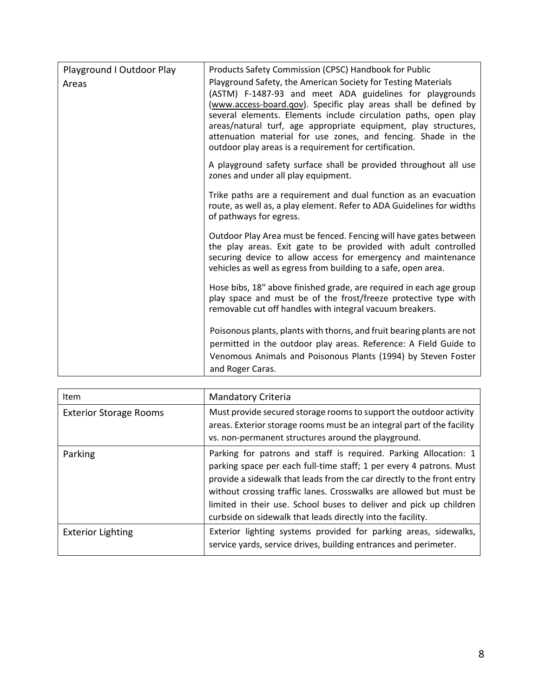| Playground I Outdoor Play<br>Areas | Products Safety Commission (CPSC) Handbook for Public<br>Playground Safety, the American Society for Testing Materials<br>(ASTM) F-1487-93 and meet ADA guidelines for playgrounds<br>(www.access-board.qov). Specific play areas shall be defined by<br>several elements. Elements include circulation paths, open play<br>areas/natural turf, age appropriate equipment, play structures,<br>attenuation material for use zones, and fencing. Shade in the<br>outdoor play areas is a requirement for certification. |
|------------------------------------|------------------------------------------------------------------------------------------------------------------------------------------------------------------------------------------------------------------------------------------------------------------------------------------------------------------------------------------------------------------------------------------------------------------------------------------------------------------------------------------------------------------------|
|                                    | A playground safety surface shall be provided throughout all use<br>zones and under all play equipment.                                                                                                                                                                                                                                                                                                                                                                                                                |
|                                    | Trike paths are a requirement and dual function as an evacuation<br>route, as well as, a play element. Refer to ADA Guidelines for widths<br>of pathways for egress.                                                                                                                                                                                                                                                                                                                                                   |
|                                    | Outdoor Play Area must be fenced. Fencing will have gates between<br>the play areas. Exit gate to be provided with adult controlled<br>securing device to allow access for emergency and maintenance<br>vehicles as well as egress from building to a safe, open area.                                                                                                                                                                                                                                                 |
|                                    | Hose bibs, 18" above finished grade, are required in each age group<br>play space and must be of the frost/freeze protective type with<br>removable cut off handles with integral vacuum breakers.                                                                                                                                                                                                                                                                                                                     |
|                                    | Poisonous plants, plants with thorns, and fruit bearing plants are not<br>permitted in the outdoor play areas. Reference: A Field Guide to<br>Venomous Animals and Poisonous Plants (1994) by Steven Foster<br>and Roger Caras.                                                                                                                                                                                                                                                                                        |

| Item                          | Mandatory Criteria                                                                                                                                                                                                                                                                                                                                                                                                           |
|-------------------------------|------------------------------------------------------------------------------------------------------------------------------------------------------------------------------------------------------------------------------------------------------------------------------------------------------------------------------------------------------------------------------------------------------------------------------|
| <b>Exterior Storage Rooms</b> | Must provide secured storage rooms to support the outdoor activity<br>areas. Exterior storage rooms must be an integral part of the facility<br>vs. non-permanent structures around the playground.                                                                                                                                                                                                                          |
| Parking                       | Parking for patrons and staff is required. Parking Allocation: 1<br>parking space per each full-time staff; 1 per every 4 patrons. Must<br>provide a sidewalk that leads from the car directly to the front entry<br>without crossing traffic lanes. Crosswalks are allowed but must be<br>limited in their use. School buses to deliver and pick up children<br>curbside on sidewalk that leads directly into the facility. |
| <b>Exterior Lighting</b>      | Exterior lighting systems provided for parking areas, sidewalks,<br>service yards, service drives, building entrances and perimeter.                                                                                                                                                                                                                                                                                         |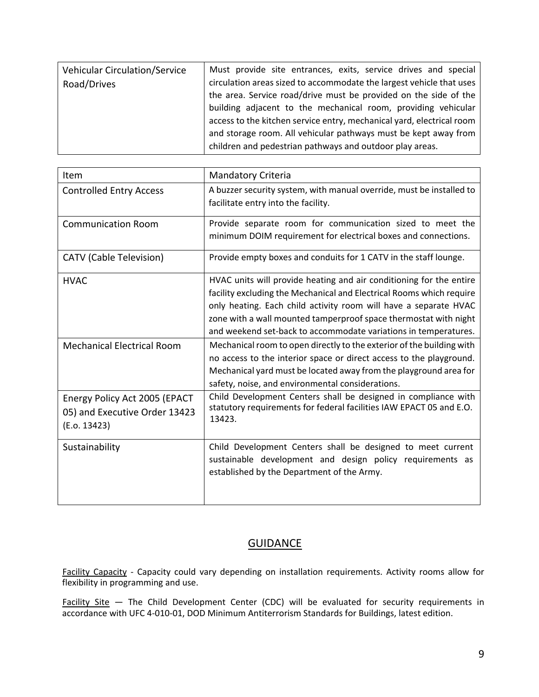| <b>Vehicular Circulation/Service</b> | Must provide site entrances, exits, service drives and special        |
|--------------------------------------|-----------------------------------------------------------------------|
| Road/Drives                          | circulation areas sized to accommodate the largest vehicle that uses  |
|                                      | the area. Service road/drive must be provided on the side of the      |
|                                      | building adjacent to the mechanical room, providing vehicular         |
|                                      | access to the kitchen service entry, mechanical yard, electrical room |
|                                      | and storage room. All vehicular pathways must be kept away from       |
|                                      | children and pedestrian pathways and outdoor play areas.              |

| Item                                                                          | <b>Mandatory Criteria</b>                                                                                                                                                                                                                                                                                                                              |
|-------------------------------------------------------------------------------|--------------------------------------------------------------------------------------------------------------------------------------------------------------------------------------------------------------------------------------------------------------------------------------------------------------------------------------------------------|
| <b>Controlled Entry Access</b>                                                | A buzzer security system, with manual override, must be installed to<br>facilitate entry into the facility.                                                                                                                                                                                                                                            |
| <b>Communication Room</b>                                                     | Provide separate room for communication sized to meet the<br>minimum DOIM requirement for electrical boxes and connections.                                                                                                                                                                                                                            |
| <b>CATV</b> (Cable Television)                                                | Provide empty boxes and conduits for 1 CATV in the staff lounge.                                                                                                                                                                                                                                                                                       |
| <b>HVAC</b>                                                                   | HVAC units will provide heating and air conditioning for the entire<br>facility excluding the Mechanical and Electrical Rooms which require<br>only heating. Each child activity room will have a separate HVAC<br>zone with a wall mounted tamperproof space thermostat with night<br>and weekend set-back to accommodate variations in temperatures. |
| <b>Mechanical Electrical Room</b>                                             | Mechanical room to open directly to the exterior of the building with<br>no access to the interior space or direct access to the playground.<br>Mechanical yard must be located away from the playground area for<br>safety, noise, and environmental considerations.                                                                                  |
| Energy Policy Act 2005 (EPACT<br>05) and Executive Order 13423<br>(E.0.13423) | Child Development Centers shall be designed in compliance with<br>statutory requirements for federal facilities IAW EPACT 05 and E.O.<br>13423.                                                                                                                                                                                                        |
| Sustainability                                                                | Child Development Centers shall be designed to meet current<br>sustainable development and design policy requirements as<br>established by the Department of the Army.                                                                                                                                                                                 |

## **GUIDANCE**

Facility Capacity - Capacity could vary depending on installation requirements. Activity rooms allow for flexibility in programming and use.

Facility Site - The Child Development Center (CDC) will be evaluated for security requirements in accordance with UFC 4‐010‐01, DOD Minimum Antiterrorism Standards for Buildings, latest edition.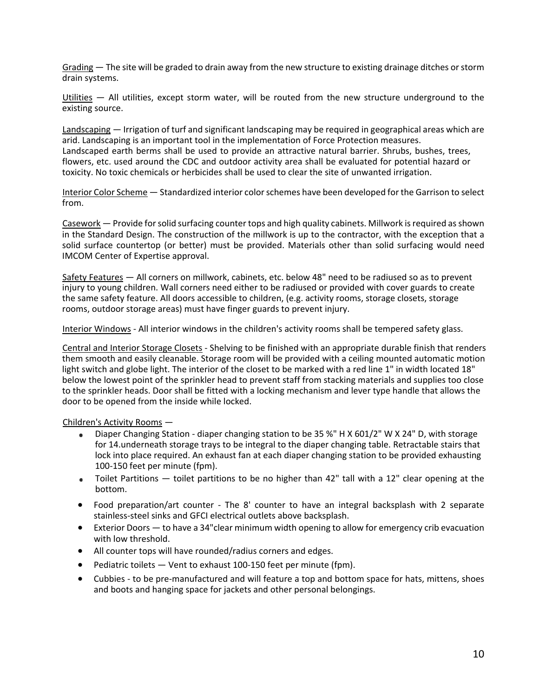Grading — The site will be graded to drain away from the new structure to existing drainage ditches or storm drain systems.

Utilities — All utilities, except storm water, will be routed from the new structure underground to the existing source.

Landscaping — Irrigation of turf and significant landscaping may be required in geographical areas which are arid. Landscaping is an important tool in the implementation of Force Protection measures. Landscaped earth berms shall be used to provide an attractive natural barrier. Shrubs, bushes, trees, flowers, etc. used around the CDC and outdoor activity area shall be evaluated for potential hazard or toxicity. No toxic chemicals or herbicides shall be used to clear the site of unwanted irrigation.

Interior Color Scheme — Standardized interior colorschemes have been developed for the Garrison to select from.

Casework — Provide forsolid surfacing counter tops and high quality cabinets. Millwork isrequired asshown in the Standard Design. The construction of the millwork is up to the contractor, with the exception that a solid surface countertop (or better) must be provided. Materials other than solid surfacing would need IMCOM Center of Expertise approval.

Safety Features — All corners on millwork, cabinets, etc. below 48" need to be radiused so as to prevent injury to young children. Wall corners need either to be radiused or provided with cover guards to create the same safety feature. All doors accessible to children, (e.g. activity rooms, storage closets, storage rooms, outdoor storage areas) must have finger guards to prevent injury.

Interior Windows ‐ All interior windows in the children's activity rooms shall be tempered safety glass.

Central and Interior Storage Closets ‐ Shelving to be finished with an appropriate durable finish that renders them smooth and easily cleanable. Storage room will be provided with a ceiling mounted automatic motion light switch and globe light. The interior of the closet to be marked with a red line 1" in width located 18" below the lowest point of the sprinkler head to prevent staff from stacking materials and supplies too close to the sprinkler heads. Door shall be fitted with a locking mechanism and lever type handle that allows the door to be opened from the inside while locked.

Children's Activity Rooms —

- Diaper Changing Station ‐ diaper changing station to be 35 %" H X 601/2" W X 24" D, with storage for 14.underneath storage trays to be integral to the diaper changing table. Retractable stairs that lock into place required. An exhaust fan at each diaper changing station to be provided exhausting 100‐150 feet per minute (fpm).
- Toilet Partitions toilet partitions to be no higher than 42" tall with a 12" clear opening at the  $\bullet$ bottom.
- Food preparation/art counter The 8' counter to have an integral backsplash with 2 separate stainless‐steel sinks and GFCI electrical outlets above backsplash.
- Exterior Doors to have a 34"clear minimum width opening to allow for emergency crib evacuation with low threshold.
- All counter tops will have rounded/radius corners and edges.
- Pediatric toilets Vent to exhaust 100-150 feet per minute (fpm).
- Cubbies to be pre-manufactured and will feature a top and bottom space for hats, mittens, shoes and boots and hanging space for jackets and other personal belongings.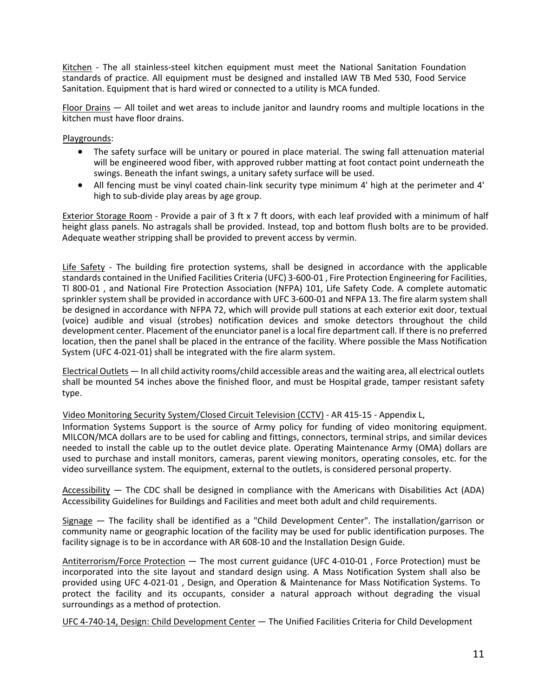Kitchen - The all stainless-steel kitchen equipment must meet the National Sanitation Foundation standards of practice. All equipment must be designed and installed IAW TB Med 530, Food Service Sanitation. Equipment that is hard wired or connected to a utility is MCA funded.

Floor Drains — All toilet and wet areas to include janitor and laundry rooms and multiple locations in the kitchen must have floor drains.

Playgrounds:

- The safety surface will be unitary or poured in place material. The swing fall attenuation material will be engineered wood fiber, with approved rubber matting at foot contact point underneath the swings. Beneath the infant swings, a unitary safety surface will be used.
- All fencing must be vinyl coated chain‐link security type minimum 4' high at the perimeter and 4' high to sub-divide play areas by age group.

Exterior Storage Room ‐ Provide a pair of 3 ft x 7 ft doors, with each leaf provided with a minimum of half height glass panels. No astragals shall be provided. Instead, top and bottom flush bolts are to be provided. Adequate weather stripping shall be provided to prevent access by vermin.

Life Safety - The building fire protection systems, shall be designed in accordance with the applicable standards contained in the Unified Facilities Criteria (UFC) 3‐600‐01 , Fire Protection Engineering for Facilities, Tl 800‐01 , and National Fire Protection Association (NFPA) 101, Life Safety Code. A complete automatic sprinkler system shall be provided in accordance with UFC 3‐600‐01 and NFPA 13. The fire alarm system shall be designed in accordance with NFPA 72, which will provide pull stations at each exterior exit door, textual (voice) audible and visual (strobes) notification devices and smoke detectors throughout the child development center. Placement of the enunciator panel is a local fire department call. If there is no preferred location, then the panel shall be placed in the entrance of the facility. Where possible the Mass Notification System (UFC 4‐021‐01) shall be integrated with the fire alarm system.

Electrical Outlets — In all child activity rooms/child accessible areas and the waiting area, all electrical outlets shall be mounted 54 inches above the finished floor, and must be Hospital grade, tamper resistant safety type.

Video Monitoring Security System/Closed Circuit Television (CCTV) ‐ AR 415‐15 ‐ Appendix L,

Information Systems Support is the source of Army policy for funding of video monitoring equipment. MILCON/MCA dollars are to be used for cabling and fittings, connectors, terminal strips, and similar devices needed to install the cable up to the outlet device plate. Operating Maintenance Army (OMA) dollars are used to purchase and install monitors, cameras, parent viewing monitors, operating consoles, etc. for the video surveillance system. The equipment, external to the outlets, is considered personal property.

Accessibility — The CDC shall be designed in compliance with the Americans with Disabilities Act (ADA) Accessibility Guidelines for Buildings and Facilities and meet both adult and child requirements.

Signage — The facility shall be identified as a "Child Development Center". The installation/garrison or community name or geographic location of the facility may be used for public identification purposes. The facility signage is to be in accordance with AR 608‐10 and the Installation Design Guide.

Antiterrorism/Force Protection — The most current guidance (UFC 4‐010‐01 , Force Protection) must be incorporated into the site layout and standard design using. A Mass Notification System shall also be provided using UFC 4‐021‐01 , Design, and Operation & Maintenance for Mass Notification Systems. To protect the facility and its occupants, consider a natural approach without degrading the visual surroundings as a method of protection.

UFC 4‐740‐14, Design: Child Development Center — The Unified Facilities Criteria for Child Development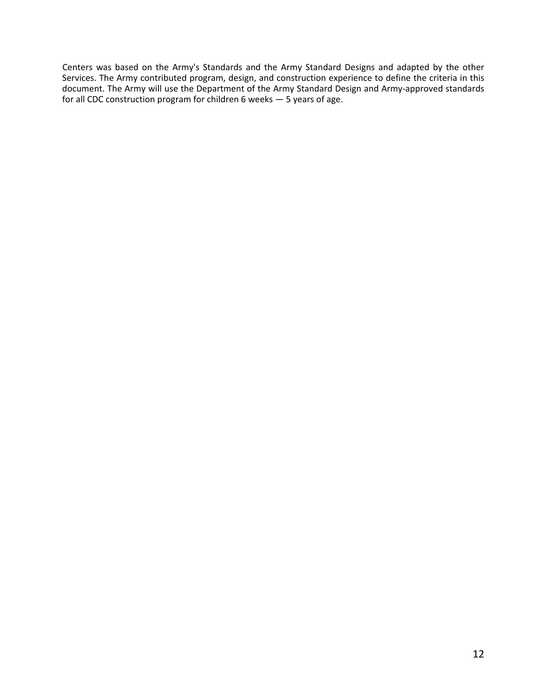Centers was based on the Army's Standards and the Army Standard Designs and adapted by the other Services. The Army contributed program, design, and construction experience to define the criteria in this document. The Army will use the Department of the Army Standard Design and Army‐approved standards for all CDC construction program for children 6 weeks — 5 years of age.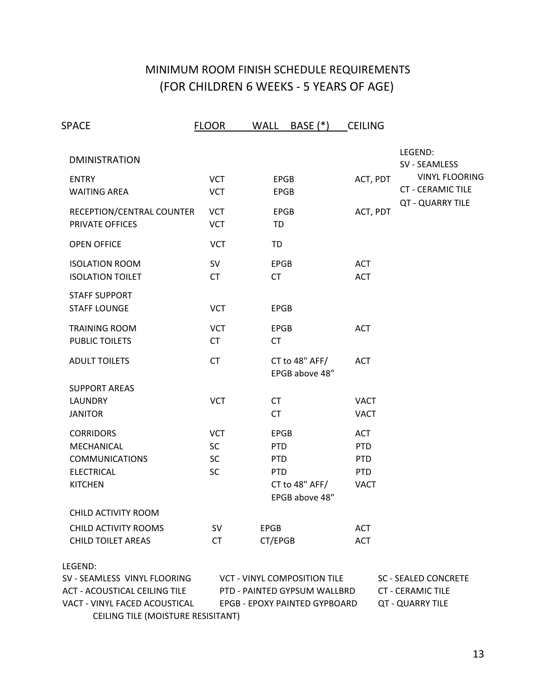# MINIMUM ROOM FINISH SCHEDULE REQUIREMENTS (FOR CHILDREN 6 WEEKS ‐ 5 YEARS OF AGE)

| SPACE                                                                                                            | <b>FLOOR</b>                                      | <b>WALL</b><br><b>BASE</b> (*)                                                                       | <b>CEILING</b>                                                      |                                                                             |
|------------------------------------------------------------------------------------------------------------------|---------------------------------------------------|------------------------------------------------------------------------------------------------------|---------------------------------------------------------------------|-----------------------------------------------------------------------------|
| <b>DMINISTRATION</b>                                                                                             |                                                   |                                                                                                      |                                                                     | LEGEND:<br>SV - SEAMLESS                                                    |
| <b>ENTRY</b><br><b>WAITING AREA</b>                                                                              | <b>VCT</b><br><b>VCT</b>                          | <b>EPGB</b><br><b>EPGB</b>                                                                           | ACT, PDT                                                            | <b>VINYL FLOORING</b><br><b>CT - CERAMIC TILE</b>                           |
| RECEPTION/CENTRAL COUNTER<br>PRIVATE OFFICES                                                                     | <b>VCT</b><br><b>VCT</b>                          | <b>EPGB</b><br>TD                                                                                    | ACT, PDT                                                            | QT - QUARRY TILE                                                            |
| <b>OPEN OFFICE</b>                                                                                               | <b>VCT</b>                                        | TD                                                                                                   |                                                                     |                                                                             |
| <b>ISOLATION ROOM</b><br><b>ISOLATION TOILET</b>                                                                 | <b>SV</b><br><b>CT</b>                            | <b>EPGB</b><br><b>CT</b>                                                                             | <b>ACT</b><br><b>ACT</b>                                            |                                                                             |
| <b>STAFF SUPPORT</b><br><b>STAFF LOUNGE</b>                                                                      | <b>VCT</b>                                        | <b>EPGB</b>                                                                                          |                                                                     |                                                                             |
| <b>TRAINING ROOM</b><br><b>PUBLIC TOILETS</b>                                                                    | <b>VCT</b><br><b>CT</b>                           | <b>EPGB</b><br><b>CT</b>                                                                             | <b>ACT</b>                                                          |                                                                             |
| <b>ADULT TOILETS</b>                                                                                             | <b>CT</b>                                         | CT to 48" AFF/<br>EPGB above 48"                                                                     | <b>ACT</b>                                                          |                                                                             |
| <b>SUPPORT AREAS</b><br><b>LAUNDRY</b><br><b>JANITOR</b>                                                         | <b>VCT</b>                                        | <b>CT</b><br><b>CT</b>                                                                               | <b>VACT</b><br><b>VACT</b>                                          |                                                                             |
| <b>CORRIDORS</b><br>MECHANICAL<br><b>COMMUNICATIONS</b><br><b>ELECTRICAL</b><br><b>KITCHEN</b>                   | <b>VCT</b><br><b>SC</b><br><b>SC</b><br><b>SC</b> | <b>EPGB</b><br><b>PTD</b><br><b>PTD</b><br><b>PTD</b><br>CT to 48" AFF/<br>EPGB above 48"            | <b>ACT</b><br><b>PTD</b><br><b>PTD</b><br><b>PTD</b><br><b>VACT</b> |                                                                             |
| CHILD ACTIVITY ROOM                                                                                              |                                                   |                                                                                                      |                                                                     |                                                                             |
| CHILD ACTIVITY ROOMS<br><b>CHILD TOILET AREAS</b>                                                                | <b>SV</b><br><b>CT</b>                            | <b>EPGB</b><br>CT/EPGB                                                                               | <b>ACT</b><br><b>ACT</b>                                            |                                                                             |
| LEGEND:<br>SV - SEAMLESS VINYL FLOORING<br><b>ACT - ACOUSTICAL CEILING TILE</b><br>VACT - VINYL FACED ACOUSTICAL |                                                   | <b>VCT - VINYL COMPOSITION TILE</b><br>PTD - PAINTED GYPSUM WALLBRD<br>EPGB - EPOXY PAINTED GYPBOARD |                                                                     | <b>SC - SEALED CONCRETE</b><br><b>CT - CERAMIC TILE</b><br>QT - QUARRY TILE |

CEILING TILE (MOISTURE RESISITANT)